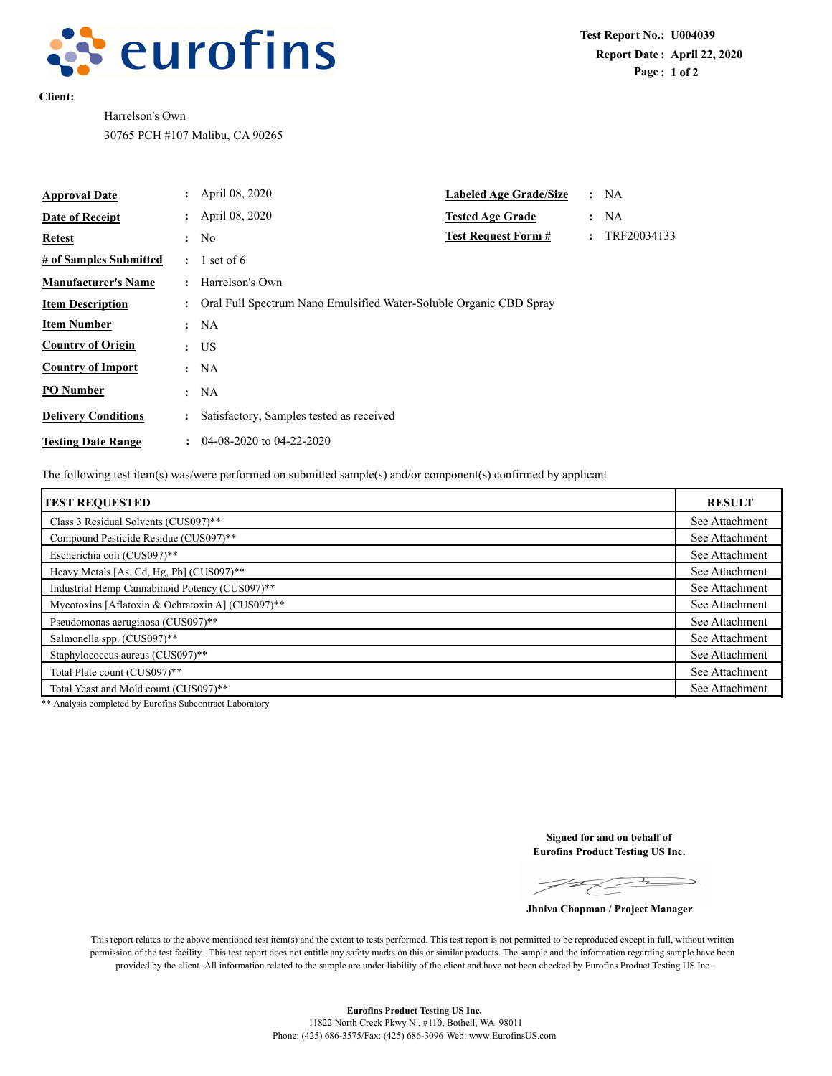

**Client:**

Harrelson's Own 30765 PCH #107 Malibu, CA 90265

| <b>Approval Date</b>       |                      | : April 08, 2020                                                   | <b>Labeled Age Grade/Size</b> |                      | :NA         |
|----------------------------|----------------------|--------------------------------------------------------------------|-------------------------------|----------------------|-------------|
| Date of Receipt            |                      | April 08, 2020                                                     | <b>Tested Age Grade</b>       |                      | : NA        |
| Retest                     | $\ddot{\cdot}$       | No                                                                 | <b>Test Request Form #</b>    | $\ddot{\phantom{a}}$ | TRF20034133 |
| # of Samples Submitted     | $\ddot{\phantom{a}}$ | 1 set of $6$                                                       |                               |                      |             |
| <b>Manufacturer's Name</b> |                      | Harrelson's Own                                                    |                               |                      |             |
| <b>Item Description</b>    |                      | Oral Full Spectrum Nano Emulsified Water-Soluble Organic CBD Spray |                               |                      |             |
| <b>Item Number</b>         | $\ddot{\cdot}$       | NA                                                                 |                               |                      |             |
| <b>Country of Origin</b>   |                      | $:$ US                                                             |                               |                      |             |
| <b>Country of Import</b>   | $\ddot{\phantom{a}}$ | NA                                                                 |                               |                      |             |
| <b>PO</b> Number           | $\ddot{\cdot}$       | NA                                                                 |                               |                      |             |
| <b>Delivery Conditions</b> | $\ddot{\cdot}$       | Satisfactory, Samples tested as received                           |                               |                      |             |
| <b>Testing Date Range</b>  | $\ddot{\phantom{a}}$ | $04-08-2020$ to $04-22-2020$                                       |                               |                      |             |

The following test item(s) was/were performed on submitted sample(s) and/or component(s) confirmed by applicant

| <b>TEST REQUESTED</b>                            | <b>RESULT</b>  |
|--------------------------------------------------|----------------|
| Class 3 Residual Solvents (CUS097)**             | See Attachment |
| Compound Pesticide Residue (CUS097)**            | See Attachment |
| Escherichia coli (CUS097)**                      | See Attachment |
| Heavy Metals [As, Cd, Hg, Pb] (CUS097)**         | See Attachment |
| Industrial Hemp Cannabinoid Potency (CUS097)**   |                |
| Mycotoxins [Aflatoxin & Ochratoxin A] (CUS097)** |                |
| Pseudomonas aeruginosa (CUS097)**                |                |
| Salmonella spp. (CUS097)**                       | See Attachment |
| Staphylococcus aureus (CUS097)**                 |                |
| Total Plate count (CUS097)**                     |                |
| Total Yeast and Mold count (CUS097)**            |                |

\*\* Analysis completed by Eurofins Subcontract Laboratory

**Signed for and on behalf of Eurofins Product Testing US Inc.**

 $PQ$ 

**Jhniva Chapman / Project Manager**

This report relates to the above mentioned test item(s) and the extent to tests performed. This test report is not permitted to be reproduced except in full, without written permission of the test facility. This test report does not entitle any safety marks on this or similar products. The sample and the information regarding sample have been provided by the client. All information related to the sample are under liability of the client and have not been checked by Eurofins Product Testing US Inc .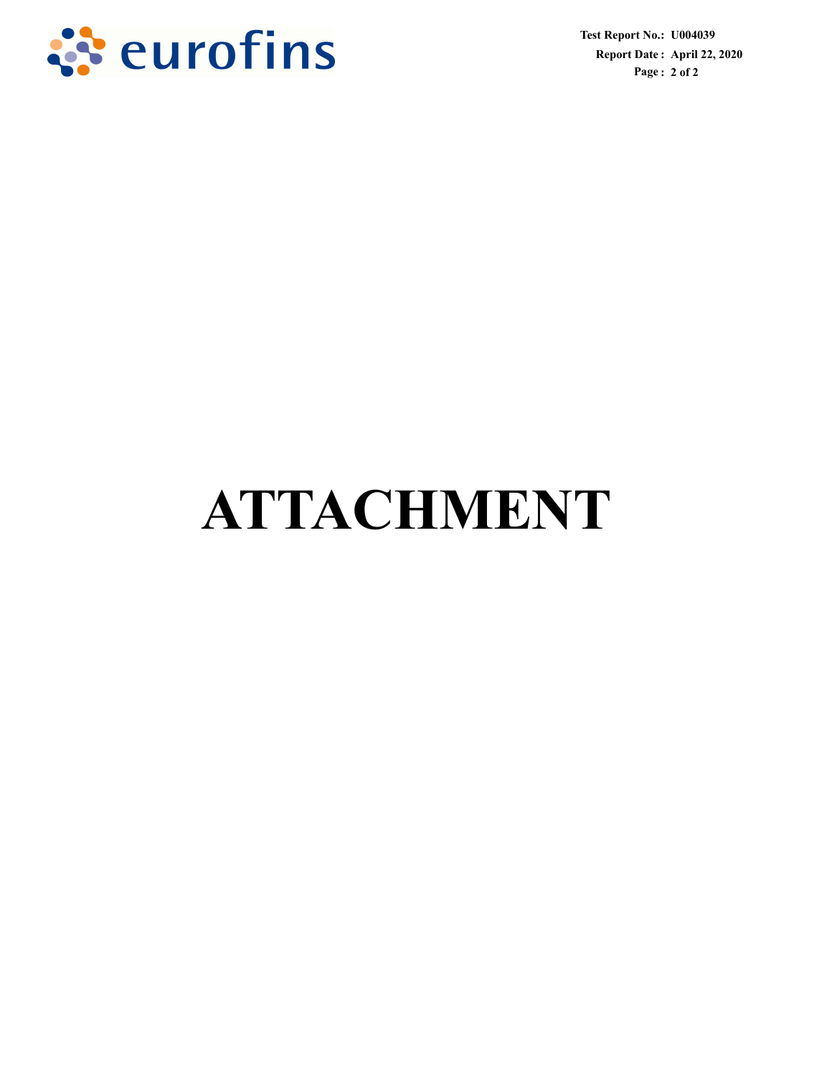

**Test Report No. : U004039 Report Date : April 22, 2020 Page : 2 of 2**

# **ATTACHMENT**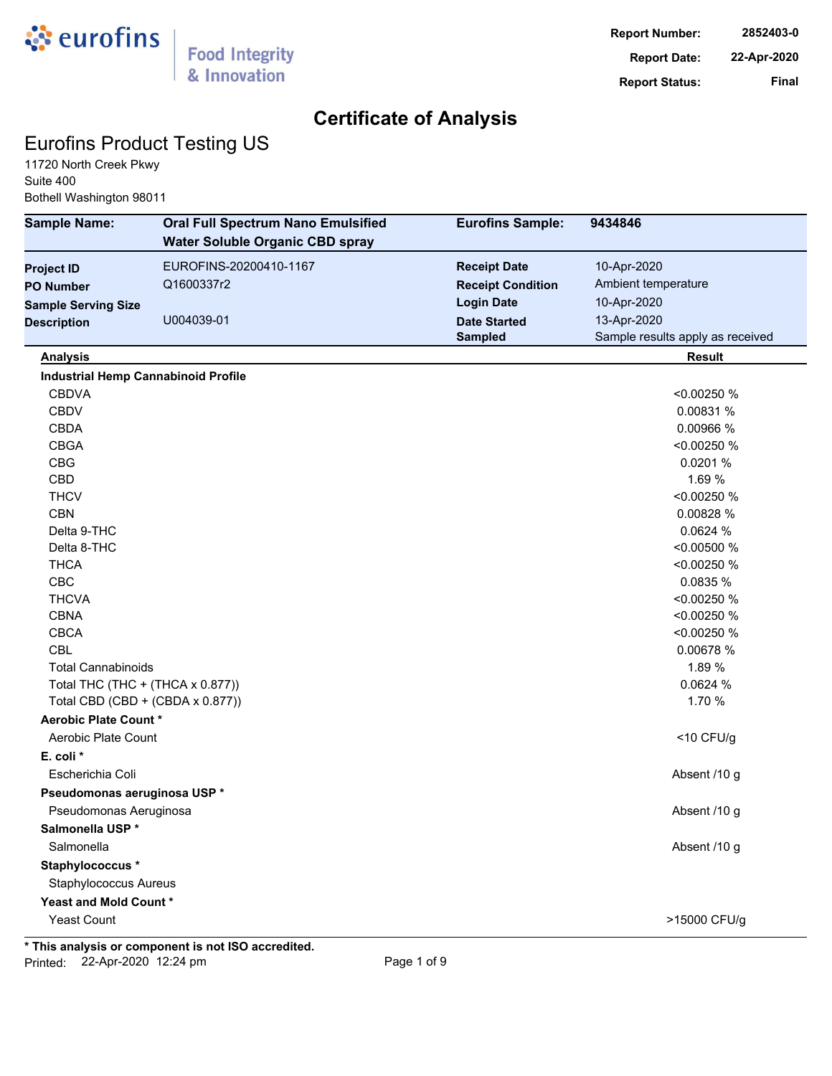

### Eurofins Product Testing US

11720 North Creek Pkwy Suite 400 Bothell Washington 98011

| <b>Sample Name:</b>                        | <b>Oral Full Spectrum Nano Emulsified</b><br><b>Water Soluble Organic CBD spray</b> | <b>Eurofins Sample:</b>  | 9434846                          |
|--------------------------------------------|-------------------------------------------------------------------------------------|--------------------------|----------------------------------|
| <b>Project ID</b>                          | EUROFINS-20200410-1167                                                              | <b>Receipt Date</b>      | 10-Apr-2020                      |
| <b>PO Number</b>                           | Q1600337r2                                                                          | <b>Receipt Condition</b> | Ambient temperature              |
| <b>Sample Serving Size</b>                 |                                                                                     | <b>Login Date</b>        | 10-Apr-2020                      |
| <b>Description</b>                         | U004039-01                                                                          | <b>Date Started</b>      | 13-Apr-2020                      |
|                                            |                                                                                     | <b>Sampled</b>           | Sample results apply as received |
| <b>Analysis</b>                            |                                                                                     |                          | <b>Result</b>                    |
| <b>Industrial Hemp Cannabinoid Profile</b> |                                                                                     |                          |                                  |
| <b>CBDVA</b>                               |                                                                                     |                          | <0.00250 %                       |
| <b>CBDV</b>                                |                                                                                     |                          | 0.00831 %                        |
| <b>CBDA</b>                                |                                                                                     |                          | 0.00966 %                        |
| <b>CBGA</b>                                |                                                                                     |                          | <0.00250 %                       |
| <b>CBG</b>                                 |                                                                                     |                          | 0.0201 %                         |
| CBD                                        |                                                                                     |                          | 1.69 %                           |
| <b>THCV</b>                                |                                                                                     |                          | <0.00250 %                       |
| <b>CBN</b>                                 |                                                                                     |                          | 0.00828 %                        |
| Delta 9-THC                                |                                                                                     |                          | 0.0624 %                         |
| Delta 8-THC                                |                                                                                     |                          | <0.00500 %                       |
| <b>THCA</b>                                |                                                                                     |                          | <0.00250 %                       |
| CBC                                        |                                                                                     |                          | 0.0835 %                         |
| <b>THCVA</b>                               |                                                                                     |                          | <0.00250 %                       |
| <b>CBNA</b>                                |                                                                                     |                          | <0.00250 %                       |
| <b>CBCA</b>                                |                                                                                     |                          | <0.00250 %                       |
| <b>CBL</b>                                 |                                                                                     |                          | 0.00678 %                        |
| <b>Total Cannabinoids</b>                  |                                                                                     |                          | 1.89 %                           |
| Total THC (THC + (THCA x 0.877))           |                                                                                     |                          | 0.0624 %                         |
| Total CBD (CBD + (CBDA x 0.877))           |                                                                                     |                          | 1.70 %                           |
| Aerobic Plate Count *                      |                                                                                     |                          |                                  |
| Aerobic Plate Count                        |                                                                                     |                          | $<$ 10 CFU/g                     |
| E. coli *                                  |                                                                                     |                          |                                  |
| Escherichia Coli                           |                                                                                     |                          | Absent /10 g                     |
| Pseudomonas aeruginosa USP *               |                                                                                     |                          |                                  |
| Pseudomonas Aeruginosa                     |                                                                                     |                          | Absent /10 g                     |
| Salmonella USP*                            |                                                                                     |                          |                                  |
| Salmonella                                 |                                                                                     |                          | Absent /10 g                     |
| Staphylococcus *                           |                                                                                     |                          |                                  |
| <b>Staphylococcus Aureus</b>               |                                                                                     |                          |                                  |
| Yeast and Mold Count*                      |                                                                                     |                          |                                  |
| <b>Yeast Count</b>                         |                                                                                     |                          | >15000 CFU/g                     |

**\* This analysis or component is not ISO accredited.** Printed: 22-Apr-2020 12:24 pm Page 1 of 9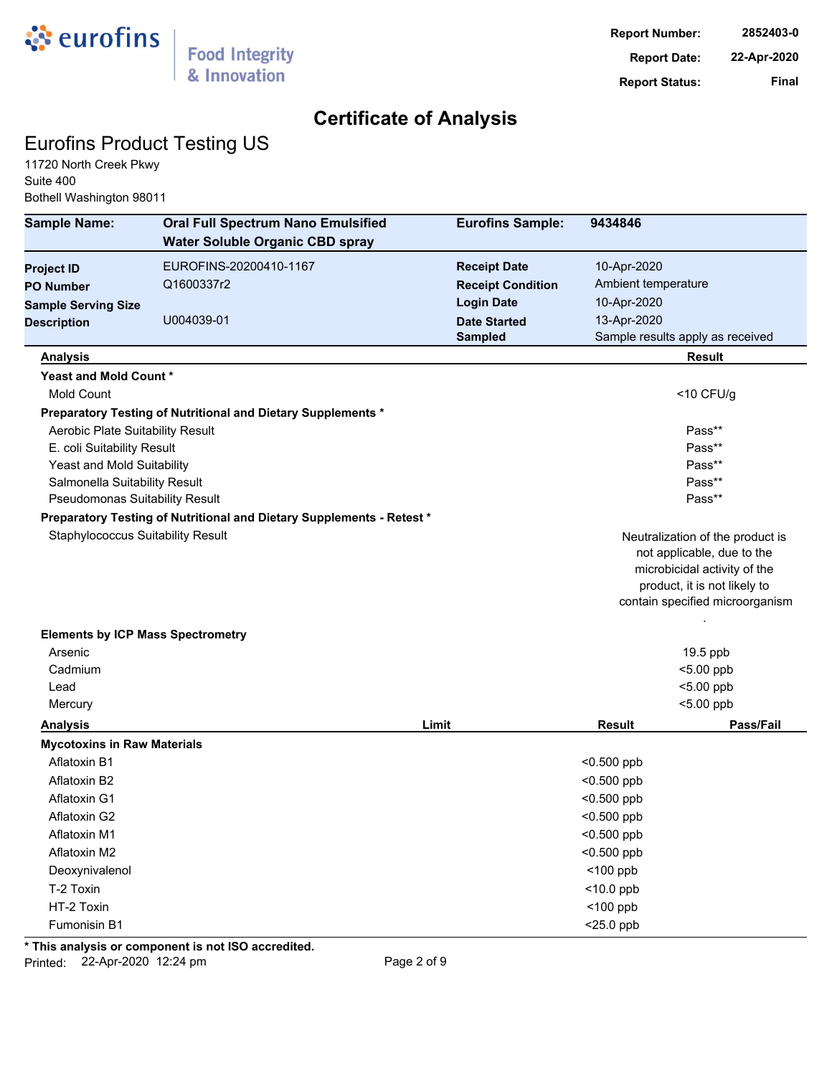

## Eurofins Product Testing US

11720 North Creek Pkwy Suite 400 Bothell Washington 98011

| <b>Sample Name:</b>                      | <b>Oral Full Spectrum Nano Emulsified</b>                             | <b>Eurofins Sample:</b>  | 9434846             |                                                              |
|------------------------------------------|-----------------------------------------------------------------------|--------------------------|---------------------|--------------------------------------------------------------|
|                                          | <b>Water Soluble Organic CBD spray</b>                                |                          |                     |                                                              |
| <b>Project ID</b>                        | EUROFINS-20200410-1167                                                | <b>Receipt Date</b>      | 10-Apr-2020         |                                                              |
| <b>PO Number</b>                         | Q1600337r2                                                            | <b>Receipt Condition</b> | Ambient temperature |                                                              |
| <b>Sample Serving Size</b>               |                                                                       | <b>Login Date</b>        | 10-Apr-2020         |                                                              |
| <b>Description</b>                       | U004039-01                                                            | <b>Date Started</b>      | 13-Apr-2020         |                                                              |
|                                          |                                                                       | <b>Sampled</b>           |                     | Sample results apply as received                             |
| <b>Analysis</b>                          |                                                                       |                          |                     | <b>Result</b>                                                |
| Yeast and Mold Count*                    |                                                                       |                          |                     |                                                              |
| <b>Mold Count</b>                        |                                                                       |                          |                     | $<$ 10 CFU/g                                                 |
|                                          | Preparatory Testing of Nutritional and Dietary Supplements *          |                          |                     |                                                              |
| Aerobic Plate Suitability Result         |                                                                       |                          |                     | Pass**                                                       |
| E. coli Suitability Result               |                                                                       |                          |                     | Pass**                                                       |
| Yeast and Mold Suitability               |                                                                       |                          |                     | Pass**                                                       |
| Salmonella Suitability Result            |                                                                       |                          |                     | Pass**                                                       |
| Pseudomonas Suitability Result           |                                                                       |                          |                     | Pass**                                                       |
|                                          | Preparatory Testing of Nutritional and Dietary Supplements - Retest * |                          |                     |                                                              |
| <b>Staphylococcus Suitability Result</b> |                                                                       |                          |                     | Neutralization of the product is                             |
|                                          |                                                                       |                          |                     | not applicable, due to the                                   |
|                                          |                                                                       |                          |                     | microbicidal activity of the<br>product, it is not likely to |
|                                          |                                                                       |                          |                     | contain specified microorganism                              |
|                                          |                                                                       |                          |                     |                                                              |
| <b>Elements by ICP Mass Spectrometry</b> |                                                                       |                          |                     |                                                              |
| Arsenic                                  |                                                                       |                          |                     | 19.5 ppb                                                     |
| Cadmium                                  |                                                                       |                          |                     | <5.00 ppb                                                    |
| Lead                                     |                                                                       |                          |                     | <5.00 ppb                                                    |
| Mercury                                  |                                                                       |                          |                     | <5.00 ppb                                                    |
| <b>Analysis</b>                          |                                                                       | Limit                    | <b>Result</b>       | Pass/Fail                                                    |
| <b>Mycotoxins in Raw Materials</b>       |                                                                       |                          |                     |                                                              |
| <b>Aflatoxin B1</b>                      |                                                                       |                          | $<$ 0.500 ppb       |                                                              |
| Aflatoxin B2                             |                                                                       |                          | $<$ 0.500 ppb       |                                                              |
| <b>Aflatoxin G1</b>                      |                                                                       |                          | $0.500$ ppb         |                                                              |
| Aflatoxin G2                             |                                                                       |                          | $<$ 0.500 ppb       |                                                              |
| Aflatoxin M1                             |                                                                       |                          | $<$ 0.500 ppb       |                                                              |
| Aflatoxin M2                             |                                                                       |                          | $<$ 0.500 ppb       |                                                              |
| Deoxynivalenol                           |                                                                       |                          | $<$ 100 ppb         |                                                              |
| T-2 Toxin                                |                                                                       |                          | $<$ 10.0 ppb        |                                                              |
| HT-2 Toxin                               |                                                                       |                          | $<$ 100 ppb         |                                                              |
| Fumonisin B1                             |                                                                       |                          | $<$ 25.0 ppb        |                                                              |

**\* This analysis or component is not ISO accredited.**

Printed: 22-Apr-2020 12:24 pm Page 2 of 9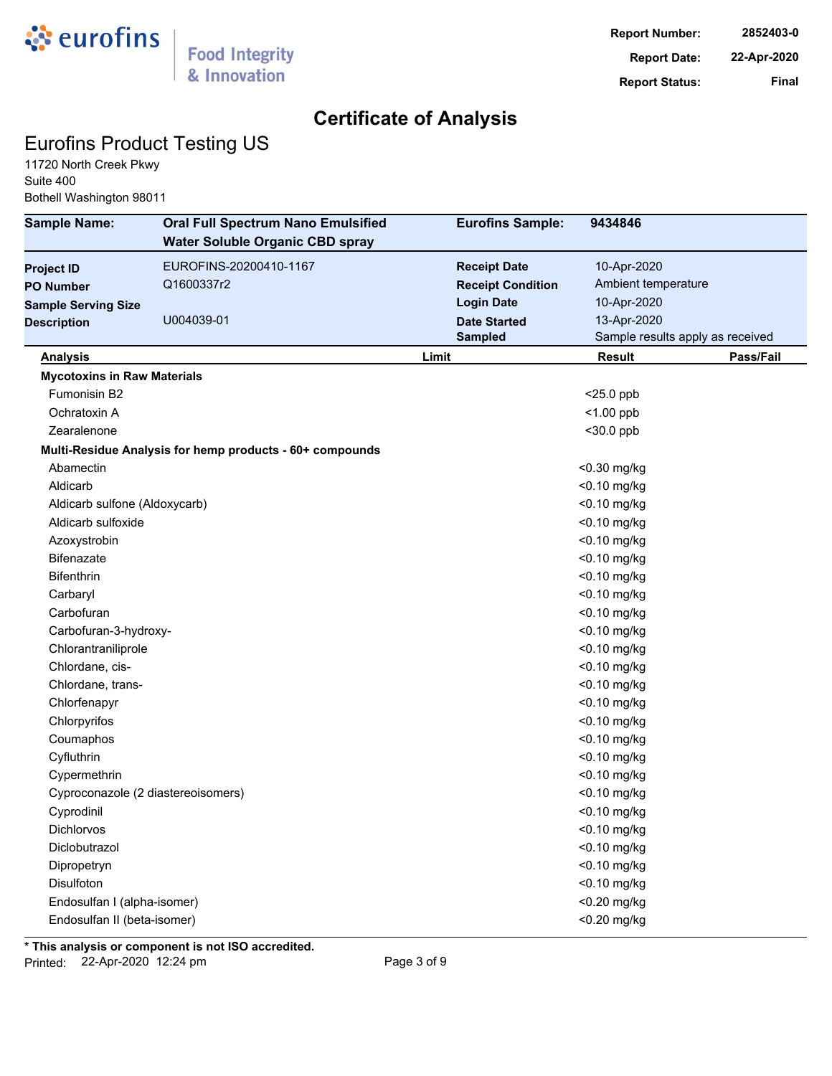

## Eurofins Product Testing US

11720 North Creek Pkwy Suite 400 Bothell Washington 98011

| <b>Sample Name:</b>                | <b>Oral Full Spectrum Nano Emulsified</b><br><b>Water Soluble Organic CBD spray</b> | <b>Eurofins Sample:</b>  | 9434846                          |           |
|------------------------------------|-------------------------------------------------------------------------------------|--------------------------|----------------------------------|-----------|
| <b>Project ID</b>                  | EUROFINS-20200410-1167                                                              | <b>Receipt Date</b>      | 10-Apr-2020                      |           |
| <b>PO Number</b>                   | Q1600337r2                                                                          | <b>Receipt Condition</b> | Ambient temperature              |           |
| <b>Sample Serving Size</b>         |                                                                                     | <b>Login Date</b>        | 10-Apr-2020                      |           |
| <b>Description</b>                 | U004039-01                                                                          | <b>Date Started</b>      | 13-Apr-2020                      |           |
|                                    |                                                                                     | <b>Sampled</b>           | Sample results apply as received |           |
| <b>Analysis</b>                    |                                                                                     | Limit                    | Result                           | Pass/Fail |
| <b>Mycotoxins in Raw Materials</b> |                                                                                     |                          |                                  |           |
| Fumonisin B2                       |                                                                                     |                          | $<$ 25.0 ppb                     |           |
| Ochratoxin A                       |                                                                                     |                          | $<$ 1.00 ppb                     |           |
| Zearalenone                        |                                                                                     |                          | $30.0$ ppb                       |           |
|                                    | Multi-Residue Analysis for hemp products - 60+ compounds                            |                          |                                  |           |
| Abamectin                          |                                                                                     |                          | <0.30 mg/kg                      |           |
| Aldicarb                           |                                                                                     |                          | <0.10 mg/kg                      |           |
| Aldicarb sulfone (Aldoxycarb)      |                                                                                     |                          | <0.10 mg/kg                      |           |
| Aldicarb sulfoxide                 |                                                                                     |                          | <0.10 mg/kg                      |           |
| Azoxystrobin                       |                                                                                     |                          | <0.10 mg/kg                      |           |
| <b>Bifenazate</b>                  |                                                                                     |                          | <0.10 mg/kg                      |           |
| <b>Bifenthrin</b>                  |                                                                                     |                          | <0.10 mg/kg                      |           |
| Carbaryl                           |                                                                                     |                          | <0.10 mg/kg                      |           |
| Carbofuran                         |                                                                                     |                          | <0.10 mg/kg                      |           |
| Carbofuran-3-hydroxy-              |                                                                                     |                          | <0.10 mg/kg                      |           |
| Chlorantraniliprole                |                                                                                     |                          | <0.10 mg/kg                      |           |
| Chlordane, cis-                    |                                                                                     |                          | <0.10 mg/kg                      |           |
| Chlordane, trans-                  |                                                                                     |                          | <0.10 mg/kg                      |           |
| Chlorfenapyr                       |                                                                                     |                          | <0.10 mg/kg                      |           |
| Chlorpyrifos                       |                                                                                     |                          | <0.10 mg/kg                      |           |
| Coumaphos                          |                                                                                     |                          | <0.10 mg/kg                      |           |
| Cyfluthrin                         |                                                                                     |                          | <0.10 mg/kg                      |           |
| Cypermethrin                       |                                                                                     |                          | <0.10 mg/kg                      |           |
| Cyproconazole (2 diastereoisomers) |                                                                                     |                          | <0.10 mg/kg                      |           |
| Cyprodinil                         |                                                                                     |                          | <0.10 mg/kg                      |           |
| Dichlorvos                         |                                                                                     |                          | <0.10 mg/kg                      |           |
| Diclobutrazol                      |                                                                                     |                          | <0.10 mg/kg                      |           |
| Dipropetryn                        |                                                                                     |                          | <0.10 mg/kg                      |           |
| Disulfoton                         |                                                                                     |                          | <0.10 mg/kg                      |           |
| Endosulfan I (alpha-isomer)        |                                                                                     |                          | <0.20 mg/kg                      |           |
| Endosulfan II (beta-isomer)        |                                                                                     |                          | <0.20 mg/kg                      |           |
|                                    |                                                                                     |                          |                                  |           |

**\* This analysis or component is not ISO accredited.**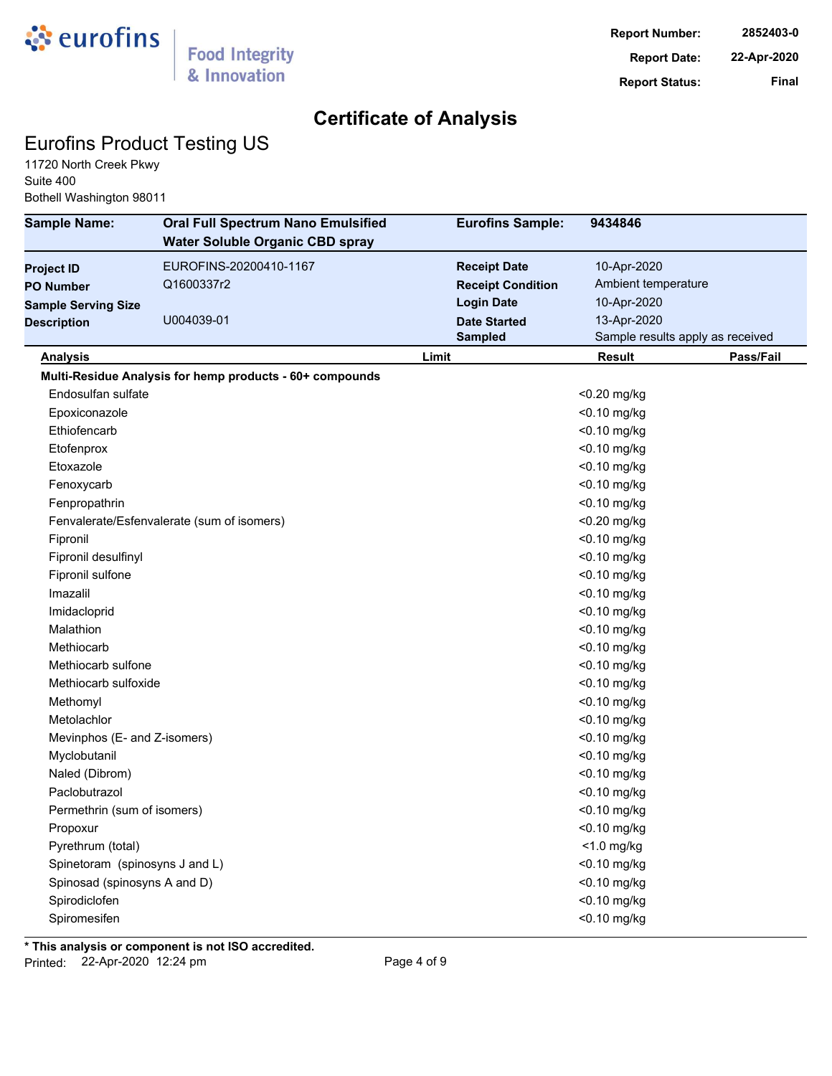

## Eurofins Product Testing US

11720 North Creek Pkwy Suite 400 Bothell Washington 98011

| <b>Sample Name:</b>            | <b>Oral Full Spectrum Nano Emulsified</b><br><b>Water Soluble Organic CBD spray</b> | <b>Eurofins Sample:</b>  | 9434846                          |
|--------------------------------|-------------------------------------------------------------------------------------|--------------------------|----------------------------------|
| <b>Project ID</b>              | EUROFINS-20200410-1167                                                              | <b>Receipt Date</b>      | 10-Apr-2020                      |
| <b>PO Number</b>               | Q1600337r2                                                                          | <b>Receipt Condition</b> | Ambient temperature              |
| <b>Sample Serving Size</b>     |                                                                                     | <b>Login Date</b>        | 10-Apr-2020                      |
| <b>Description</b>             | U004039-01                                                                          | <b>Date Started</b>      | 13-Apr-2020                      |
|                                |                                                                                     | <b>Sampled</b>           | Sample results apply as received |
| <b>Analysis</b>                |                                                                                     | Limit                    | Result<br>Pass/Fail              |
|                                | Multi-Residue Analysis for hemp products - 60+ compounds                            |                          |                                  |
| Endosulfan sulfate             |                                                                                     |                          | <0.20 mg/kg                      |
| Epoxiconazole                  |                                                                                     |                          | <0.10 mg/kg                      |
| Ethiofencarb                   |                                                                                     |                          | <0.10 mg/kg                      |
| Etofenprox                     |                                                                                     |                          | <0.10 mg/kg                      |
| Etoxazole                      |                                                                                     |                          | <0.10 mg/kg                      |
| Fenoxycarb                     |                                                                                     |                          | $<$ 0.10 mg/kg                   |
| Fenpropathrin                  |                                                                                     |                          | <0.10 mg/kg                      |
|                                | Fenvalerate/Esfenvalerate (sum of isomers)                                          |                          | <0.20 mg/kg                      |
| Fipronil                       |                                                                                     |                          | <0.10 mg/kg                      |
| Fipronil desulfinyl            |                                                                                     |                          | <0.10 mg/kg                      |
| Fipronil sulfone               |                                                                                     |                          | $<$ 0.10 mg/kg                   |
| Imazalil                       |                                                                                     |                          | $<$ 0.10 mg/kg                   |
| Imidacloprid                   |                                                                                     |                          | <0.10 mg/kg                      |
| Malathion                      |                                                                                     |                          | <0.10 mg/kg                      |
| Methiocarb                     |                                                                                     |                          | <0.10 mg/kg                      |
| Methiocarb sulfone             |                                                                                     |                          | <0.10 mg/kg                      |
| Methiocarb sulfoxide           |                                                                                     |                          | <0.10 mg/kg                      |
| Methomyl                       |                                                                                     |                          | <0.10 mg/kg                      |
| Metolachlor                    |                                                                                     |                          | <0.10 mg/kg                      |
| Mevinphos (E- and Z-isomers)   |                                                                                     |                          | <0.10 mg/kg                      |
| Myclobutanil                   |                                                                                     |                          | <0.10 mg/kg                      |
| Naled (Dibrom)                 |                                                                                     |                          | <0.10 mg/kg                      |
| Paclobutrazol                  |                                                                                     |                          | $<$ 0.10 mg/kg                   |
| Permethrin (sum of isomers)    |                                                                                     |                          | <0.10 mg/kg                      |
| Propoxur                       |                                                                                     |                          | <0.10 mg/kg                      |
| Pyrethrum (total)              |                                                                                     |                          | $<$ 1.0 mg/kg                    |
| Spinetoram (spinosyns J and L) |                                                                                     |                          | <0.10 mg/kg                      |
| Spinosad (spinosyns A and D)   |                                                                                     |                          | <0.10 mg/kg                      |
| Spirodiclofen                  |                                                                                     |                          | <0.10 mg/kg                      |
| Spiromesifen                   |                                                                                     |                          | <0.10 mg/kg                      |

**\* This analysis or component is not ISO accredited.** Printed: 22-Apr-2020 12:24 pm Page 4 of 9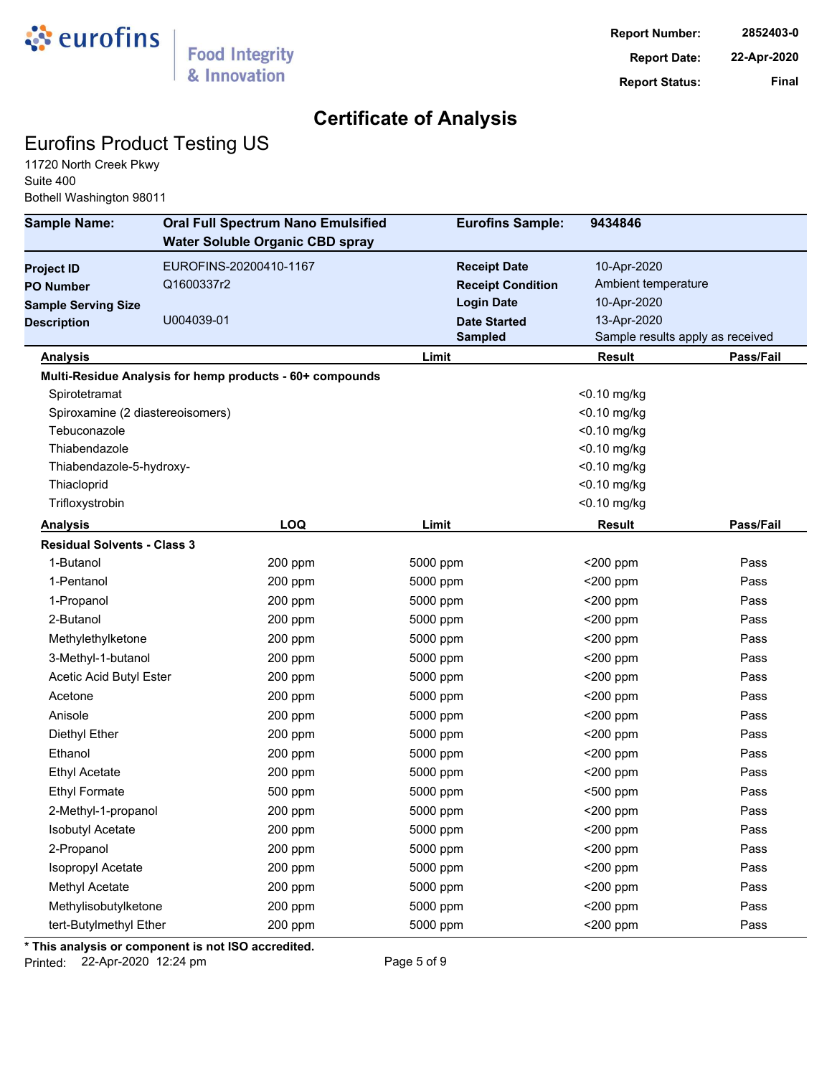

## Eurofins Product Testing US

11720 North Creek Pkwy Suite 400 Bothell Washington 98011

| <b>Sample Name:</b>                | <b>Oral Full Spectrum Nano Emulsified</b><br><b>Water Soluble Organic CBD spray</b> | <b>Eurofins Sample:</b>  | 9434846                          |           |
|------------------------------------|-------------------------------------------------------------------------------------|--------------------------|----------------------------------|-----------|
| <b>Project ID</b>                  | EUROFINS-20200410-1167                                                              | <b>Receipt Date</b>      | 10-Apr-2020                      |           |
| <b>PO Number</b>                   | Q1600337r2                                                                          | <b>Receipt Condition</b> | Ambient temperature              |           |
| <b>Sample Serving Size</b>         |                                                                                     | <b>Login Date</b>        | 10-Apr-2020                      |           |
| <b>Description</b>                 | U004039-01                                                                          | <b>Date Started</b>      | 13-Apr-2020                      |           |
|                                    |                                                                                     | <b>Sampled</b>           | Sample results apply as received |           |
| <b>Analysis</b>                    |                                                                                     | Limit                    | Result                           | Pass/Fail |
|                                    | Multi-Residue Analysis for hemp products - 60+ compounds                            |                          |                                  |           |
| Spirotetramat                      |                                                                                     |                          | <0.10 mg/kg                      |           |
| Spiroxamine (2 diastereoisomers)   |                                                                                     |                          | <0.10 mg/kg                      |           |
| Tebuconazole                       |                                                                                     |                          | <0.10 mg/kg                      |           |
| Thiabendazole                      |                                                                                     |                          | <0.10 mg/kg                      |           |
| Thiabendazole-5-hydroxy-           |                                                                                     |                          | <0.10 mg/kg                      |           |
| Thiacloprid                        |                                                                                     |                          | <0.10 mg/kg                      |           |
| Trifloxystrobin                    |                                                                                     |                          | <0.10 mg/kg                      |           |
| <b>Analysis</b>                    | <b>LOQ</b>                                                                          | Limit                    | <b>Result</b>                    | Pass/Fail |
| <b>Residual Solvents - Class 3</b> |                                                                                     |                          |                                  |           |
| 1-Butanol                          | 200 ppm                                                                             | 5000 ppm                 | $<$ 200 ppm                      | Pass      |
| 1-Pentanol                         | 200 ppm                                                                             | 5000 ppm                 | $<$ 200 ppm                      | Pass      |
| 1-Propanol                         | 200 ppm                                                                             | 5000 ppm                 | $<$ 200 ppm                      | Pass      |
| 2-Butanol                          | 200 ppm                                                                             | 5000 ppm                 | <200 ppm                         | Pass      |
| Methylethylketone                  | 200 ppm                                                                             | 5000 ppm                 | $<$ 200 ppm                      | Pass      |
| 3-Methyl-1-butanol                 | 200 ppm                                                                             | 5000 ppm                 | <200 ppm                         | Pass      |
| Acetic Acid Butyl Ester            | 200 ppm                                                                             | 5000 ppm                 | <200 ppm                         | Pass      |
| Acetone                            | 200 ppm                                                                             | 5000 ppm                 | $<$ 200 ppm                      | Pass      |
| Anisole                            | 200 ppm                                                                             | 5000 ppm                 | $<$ 200 ppm                      | Pass      |
| Diethyl Ether                      | 200 ppm                                                                             | 5000 ppm                 | $<$ 200 ppm                      | Pass      |
| Ethanol                            | 200 ppm                                                                             | 5000 ppm                 | $<$ 200 ppm                      | Pass      |
| <b>Ethyl Acetate</b>               | 200 ppm                                                                             | 5000 ppm                 | $<$ 200 ppm                      | Pass      |
| <b>Ethyl Formate</b>               | 500 ppm                                                                             | 5000 ppm                 | <500 ppm                         | Pass      |
| 2-Methyl-1-propanol                | 200 ppm                                                                             | 5000 ppm                 | $<$ 200 ppm                      | Pass      |
| <b>Isobutyl Acetate</b>            | 200 ppm                                                                             | 5000 ppm                 | <200 ppm                         | Pass      |
| 2-Propanol                         | 200 ppm                                                                             | 5000 ppm                 | <200 ppm                         | Pass      |
| Isopropyl Acetate                  | 200 ppm                                                                             | 5000 ppm                 | $<$ 200 ppm                      | Pass      |
| Methyl Acetate                     | 200 ppm                                                                             | 5000 ppm                 | $<$ 200 ppm                      | Pass      |
| Methylisobutylketone               | 200 ppm                                                                             | 5000 ppm                 | $<$ 200 ppm                      | Pass      |
| tert-Butylmethyl Ether             | 200 ppm                                                                             | 5000 ppm                 | $<$ 200 ppm                      | Pass      |
|                                    |                                                                                     |                          |                                  |           |

**\* This analysis or component is not ISO accredited.**

Printed: 22-Apr-2020 12:24 pm Page 5 of 9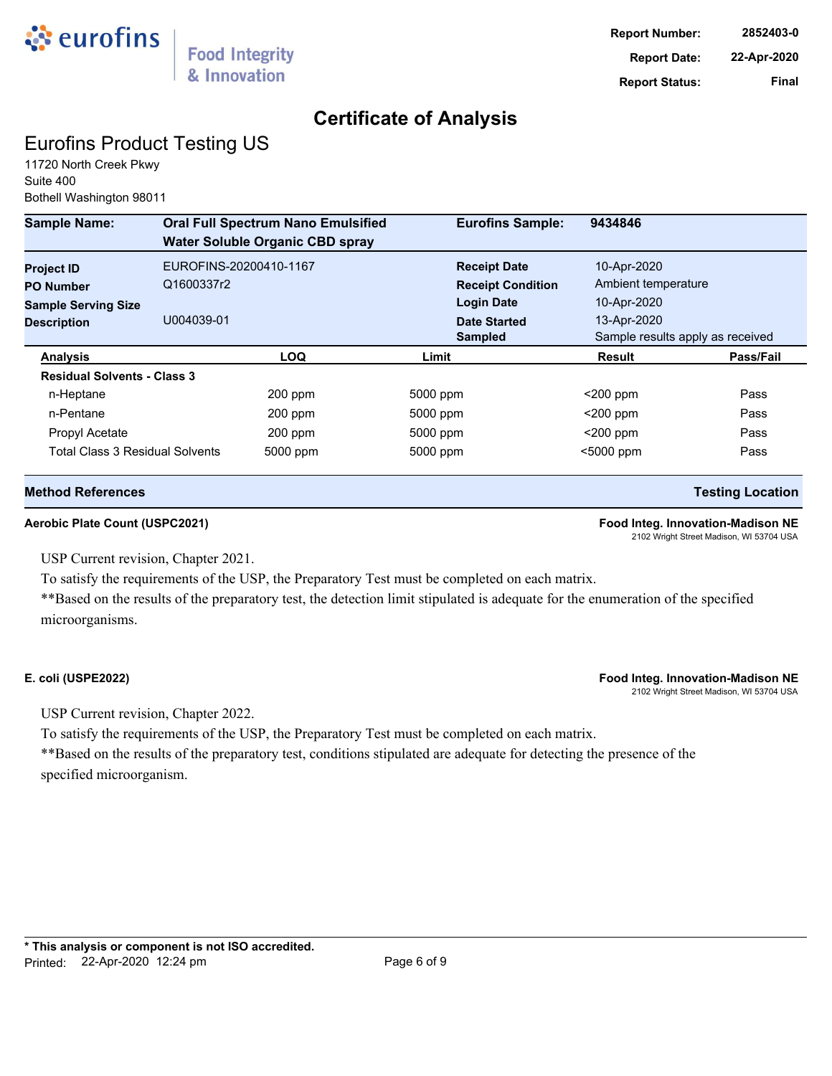

# Eurofins Product Testing US

11720 North Creek Pkwy Suite 400 Bothell Washington 98011

| <b>Sample Name:</b>                | <b>Oral Full Spectrum Nano Emulsified</b><br><b>Water Soluble Organic CBD spray</b> | <b>Eurofins Sample:</b>  | 9434846                          |           |
|------------------------------------|-------------------------------------------------------------------------------------|--------------------------|----------------------------------|-----------|
| <b>Project ID</b>                  | EUROFINS-20200410-1167                                                              | <b>Receipt Date</b>      | 10-Apr-2020                      |           |
| <b>PO Number</b>                   | Q1600337r2                                                                          | <b>Receipt Condition</b> | Ambient temperature              |           |
| <b>Sample Serving Size</b>         |                                                                                     | <b>Login Date</b>        | 10-Apr-2020                      |           |
| <b>Description</b>                 | U004039-01                                                                          | <b>Date Started</b>      | 13-Apr-2020                      |           |
|                                    |                                                                                     | <b>Sampled</b>           | Sample results apply as received |           |
| <b>Analysis</b>                    | <b>LOQ</b>                                                                          | Limit                    | <b>Result</b>                    | Pass/Fail |
| <b>Residual Solvents - Class 3</b> |                                                                                     |                          |                                  |           |
| n-Heptane                          | 200 ppm                                                                             | 5000 ppm                 | $<$ 200 ppm                      | Pass      |
| n-Pentane                          | 200 ppm                                                                             | 5000 ppm                 | $<$ 200 ppm                      | Pass      |
| Propyl Acetate                     | 200 ppm                                                                             | 5000 ppm                 | $<$ 200 ppm                      | Pass      |
| Total Class 3 Residual Solvents    | 5000 ppm                                                                            | 5000 ppm                 | $5000$ ppm                       | Pass      |

### **Method References Testing Location**

### **Aerobic Plate Count (USPC2021) Food Integ. Innovation-Madison NE**

2102 Wright Street Madison, WI 53704 USA

USP Current revision, Chapter 2021.

To satisfy the requirements of the USP, the Preparatory Test must be completed on each matrix.

\*\*Based on the results of the preparatory test, the detection limit stipulated is adequate for the enumeration of the specified microorganisms.

### **E. coli (USPE2022) Food Integ. Innovation-Madison NE**

2102 Wright Street Madison, WI 53704 USA

USP Current revision, Chapter 2022.

To satisfy the requirements of the USP, the Preparatory Test must be completed on each matrix.

\*\*Based on the results of the preparatory test, conditions stipulated are adequate for detecting the presence of the specified microorganism.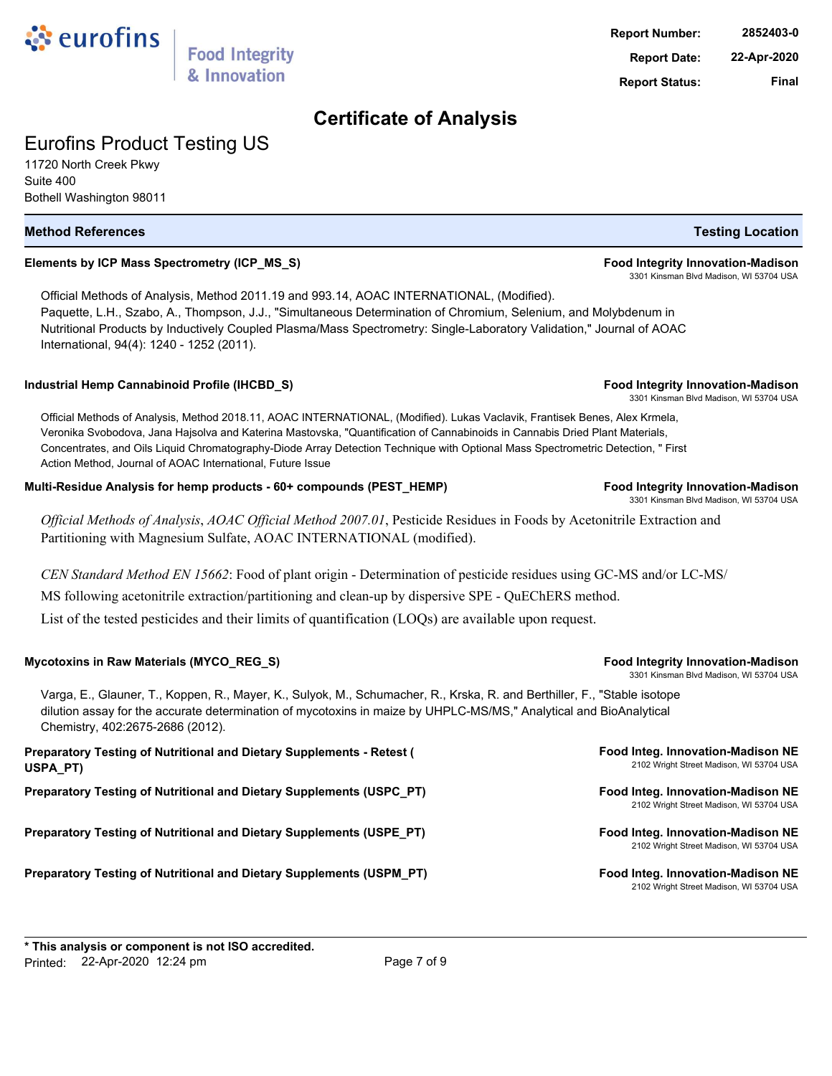# Eurofins Product Testing US

11720 North Creek Pkwy Suite 400 Bothell Washington 98011

### **Method References Testing Location**

### **Elements by ICP Mass Spectrometry (ICP\_MS\_S) Food Integrity Innovation-Madison**

Official Methods of Analysis, Method 2011.19 and 993.14, AOAC INTERNATIONAL, (Modified). Paquette, L.H., Szabo, A., Thompson, J.J., "Simultaneous Determination of Chromium, Selenium, and Molybdenum in Nutritional Products by Inductively Coupled Plasma/Mass Spectrometry: Single-Laboratory Validation," Journal of AOAC International, 94(4): 1240 - 1252 (2011).

### **Industrial Hemp Cannabinoid Profile (IHCBD\_S) Food Integrity Innovation-Madison**

Official Methods of Analysis, Method 2018.11, AOAC INTERNATIONAL, (Modified). Lukas Vaclavik, Frantisek Benes, Alex Krmela, Veronika Svobodova, Jana Hajsolva and Katerina Mastovska, "Quantification of Cannabinoids in Cannabis Dried Plant Materials, Concentrates, and Oils Liquid Chromatography-Diode Array Detection Technique with Optional Mass Spectrometric Detection, " First Action Method, Journal of AOAC International, Future Issue

#### **Multi-Residue Analysis for hemp products - 60+ compounds (PEST\_HEMP) Food Integrity Innovation-Madison**

& Innovation

*Official Methods of Analysis*, *AOAC Official Method 2007.01*, Pesticide Residues in Foods by Acetonitrile Extraction and Partitioning with Magnesium Sulfate, AOAC INTERNATIONAL (modified).

*CEN Standard Method EN 15662*: Food of plant origin - Determination of pesticide residues using GC-MS and/or LC-MS/ MS following acetonitrile extraction/partitioning and clean-up by dispersive SPE - QuEChERS method.

List of the tested pesticides and their limits of quantification (LOQs) are available upon request.

#### Mycotoxins in Raw Materials (MYCO\_REG\_S) *Mycotoxins* **Food Integrity Innovation-Madison**

Varga, E., Glauner, T., Koppen, R., Mayer, K., Sulyok, M., Schumacher, R., Krska, R. and Berthiller, F., "Stable isotope dilution assay for the accurate determination of mycotoxins in maize by UHPLC-MS/MS," Analytical and BioAnalytical Chemistry, 402:2675-2686 (2012).

| Preparatory Testing of Nutritional and Dietary Supplements - Retest (<br>USPA PT) | Food Integ. Innovation-Madison NE<br>2102 Wright Street Madison, WI 53704 USA |
|-----------------------------------------------------------------------------------|-------------------------------------------------------------------------------|
| Preparatory Testing of Nutritional and Dietary Supplements (USPC PT)              | Food Integ. Innovation-Madison NE<br>2102 Wright Street Madison, WI 53704 USA |
| Preparatory Testing of Nutritional and Dietary Supplements (USPE PT)              | Food Integ. Innovation-Madison NE<br>2102 Wright Street Madison, WI 53704 USA |
| Preparatory Testing of Nutritional and Dietary Supplements (USPM PT)              | Food Integ. Innovation-Madison NE<br>2102 Wright Street Madison, WI 53704 USA |

3301 Kinsman Blvd Madison, WI 53704 USA

3301 Kinsman Blvd Madison, WI 53704 USA

3301 Kinsman Blvd Madison, WI 53704 USA

3301 Kinsman Blvd Madison, WI 53704 USA

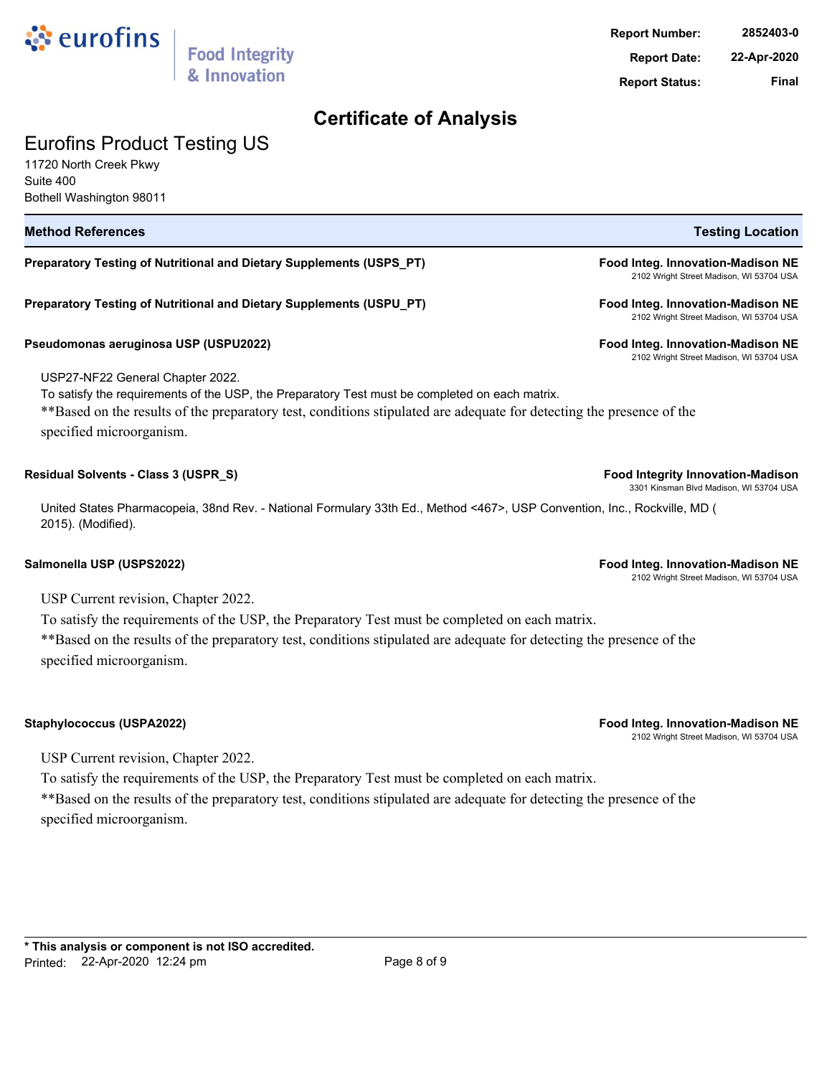

## Eurofins Product Testing US

11720 North Creek Pkwy Suite 400 Bothell Washington 98011

| <b>Method References</b>                                                                                                                                                                                                                                                                | <b>Testing Location</b>                                                             |
|-----------------------------------------------------------------------------------------------------------------------------------------------------------------------------------------------------------------------------------------------------------------------------------------|-------------------------------------------------------------------------------------|
| Preparatory Testing of Nutritional and Dietary Supplements (USPS_PT)                                                                                                                                                                                                                    | Food Integ. Innovation-Madison NE<br>2102 Wright Street Madison, WI 53704 USA       |
| Preparatory Testing of Nutritional and Dietary Supplements (USPU_PT)                                                                                                                                                                                                                    | Food Integ. Innovation-Madison NE<br>2102 Wright Street Madison, WI 53704 USA       |
| Pseudomonas aeruginosa USP (USPU2022)                                                                                                                                                                                                                                                   | Food Integ. Innovation-Madison NE<br>2102 Wright Street Madison, WI 53704 USA       |
| USP27-NF22 General Chapter 2022.<br>To satisfy the requirements of the USP, the Preparatory Test must be completed on each matrix.<br>** Based on the results of the preparatory test, conditions stipulated are adequate for detecting the presence of the<br>specified microorganism. |                                                                                     |
| Residual Solvents - Class 3 (USPR_S)                                                                                                                                                                                                                                                    | <b>Food Integrity Innovation-Madison</b><br>3301 Kinsman Blvd Madison, WI 53704 USA |
| United States Pharmacopeia, 38nd Rev. - National Formulary 33th Ed., Method <467>, USP Convention, Inc., Rockville, MD (<br>2015). (Modified).                                                                                                                                          |                                                                                     |
| Salmonella USP (USPS2022)                                                                                                                                                                                                                                                               | Food Integ. Innovation-Madison NE<br>2102 Wright Street Madison, WI 53704 USA       |
| $TIRD$ $C_{2}$ $C_{3}$ $C_{4}$ $C_{5}$ $C_{6}$ $C_{7}$ $C_{8}$ $C_{9}$ $C_{1}$ $C_{1}$ $C_{1}$ $C_{2}$ $C_{3}$ $C_{1}$                                                                                                                                                                  |                                                                                     |

USP Current revision, Chapter 2022.

To satisfy the requirements of the USP, the Preparatory Test must be completed on each matrix. \*\*Based on the results of the preparatory test, conditions stipulated are adequate for detecting the presence of the specified microorganism.

**Staphylococcus (USPA2022) Food Integ. Innovation-Madison NE** 2102 Wright Street Madison, WI 53704 USA

USP Current revision, Chapter 2022.

To satisfy the requirements of the USP, the Preparatory Test must be completed on each matrix. \*\*Based on the results of the preparatory test, conditions stipulated are adequate for detecting the presence of the specified microorganism.